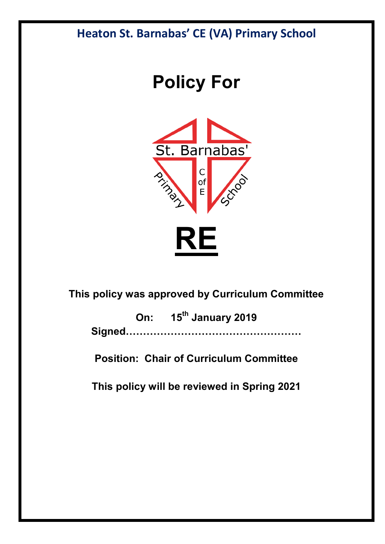## **Heaton St. Barnabas' CE (VA) Primary School**

# **Policy For**



### **This policy was approved by Curriculum Committee**

**On: 15th January 2019 Signed……………………………………………**

**Position: Chair of Curriculum Committee** 

**This policy will be reviewed in Spring 2021**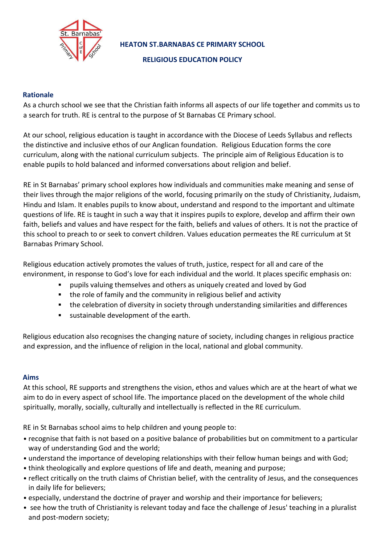

**HEATON ST.BARNABAS CE PRIMARY SCHOOL** 

**RELIGIOUS EDUCATION POLICY**

#### **Rationale**

As a church school we see that the Christian faith informs all aspects of our life together and commits us to a search for truth. RE is central to the purpose of St Barnabas CE Primary school.

At our school, religious education is taught in accordance with the Diocese of Leeds Syllabus and reflects the distinctive and inclusive ethos of our Anglican foundation. Religious Education forms the core curriculum, along with the national curriculum subjects. The principle aim of Religious Education is to enable pupils to hold balanced and informed conversations about religion and belief.

RE in St Barnabas' primary school explores how individuals and communities make meaning and sense of their lives through the major religions of the world, focusing primarily on the study of Christianity, Judaism, Hindu and Islam. It enables pupils to know about, understand and respond to the important and ultimate questions of life. RE is taught in such a way that it inspires pupils to explore, develop and affirm their own faith, beliefs and values and have respect for the faith, beliefs and values of others. It is not the practice of this school to preach to or seek to convert children. Values education permeates the RE curriculum at St Barnabas Primary School.

Religious education actively promotes the values of truth, justice, respect for all and care of the environment, in response to God's love for each individual and the world. It places specific emphasis on:

- pupils valuing themselves and others as uniquely created and loved by God
- the role of family and the community in religious belief and activity
- the celebration of diversity in society through understanding similarities and differences
- sustainable development of the earth.

Religious education also recognises the changing nature of society, including changes in religious practice and expression, and the influence of religion in the local, national and global community.

#### **Aims**

At this school, RE supports and strengthens the vision, ethos and values which are at the heart of what we aim to do in every aspect of school life. The importance placed on the development of the whole child spiritually, morally, socially, culturally and intellectually is reflected in the RE curriculum.

RE in St Barnabas school aims to help children and young people to:

- recognise that faith is not based on a positive balance of probabilities but on commitment to a particular way of understanding God and the world;
- understand the importance of developing relationships with their fellow human beings and with God;
- think theologically and explore questions of life and death, meaning and purpose;
- reflect critically on the truth claims of Christian belief, with the centrality of Jesus, and the consequences in daily life for believers;
- especially, understand the doctrine of prayer and worship and their importance for believers;
- see how the truth of Christianity is relevant today and face the challenge of Jesus' teaching in a pluralist and post-modern society;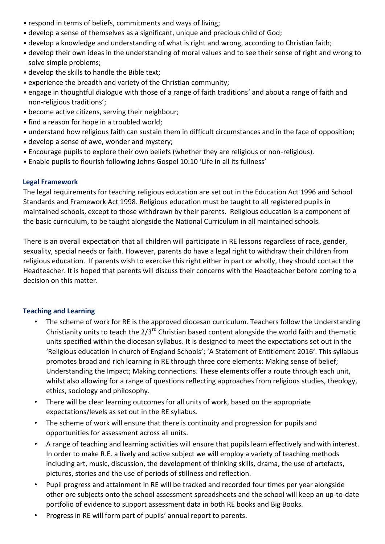- respond in terms of beliefs, commitments and ways of living;
- develop a sense of themselves as a significant, unique and precious child of God;
- develop a knowledge and understanding of what is right and wrong, according to Christian faith;
- develop their own ideas in the understanding of moral values and to see their sense of right and wrong to solve simple problems;
- develop the skills to handle the Bible text;
- experience the breadth and variety of the Christian community;
- engage in thoughtful dialogue with those of a range of faith traditions' and about a range of faith and non-religious traditions';
- become active citizens, serving their neighbour;
- find a reason for hope in a troubled world;
- understand how religious faith can sustain them in difficult circumstances and in the face of opposition;
- develop a sense of awe, wonder and mystery;
- Encourage pupils to explore their own beliefs (whether they are religious or non-religious).
- Enable pupils to flourish following Johns Gospel 10:10 'Life in all its fullness'

#### **Legal Framework**

The legal requirements for teaching religious education are set out in the Education Act 1996 and School Standards and Framework Act 1998. Religious education must be taught to all registered pupils in maintained schools, except to those withdrawn by their parents. Religious education is a component of the basic curriculum, to be taught alongside the National Curriculum in all maintained schools.

There is an overall expectation that all children will participate in RE lessons regardless of race, gender, sexuality, special needs or faith. However, parents do have a legal right to withdraw their children from religious education. If parents wish to exercise this right either in part or wholly, they should contact the Headteacher. It is hoped that parents will discuss their concerns with the Headteacher before coming to a decision on this matter.

#### **Teaching and Learning**

- The scheme of work for RE is the approved diocesan curriculum. Teachers follow the Understanding Christianity units to teach the 2/3<sup>rd</sup> Christian based content alongside the world faith and thematic units specified within the diocesan syllabus. It is designed to meet the expectations set out in the 'Religious education in church of England Schools'; 'A Statement of Entitlement 2016'. This syllabus promotes broad and rich learning in RE through three core elements: Making sense of belief; Understanding the Impact; Making connections. These elements offer a route through each unit, whilst also allowing for a range of questions reflecting approaches from religious studies, theology, ethics, sociology and philosophy.
- There will be clear learning outcomes for all units of work, based on the appropriate expectations/levels as set out in the RE syllabus.
- The scheme of work will ensure that there is continuity and progression for pupils and opportunities for assessment across all units.
- A range of teaching and learning activities will ensure that pupils learn effectively and with interest. In order to make R.E. a lively and active subject we will employ a variety of teaching methods including art, music, discussion, the development of thinking skills, drama, the use of artefacts, pictures, stories and the use of periods of stillness and reflection.
- Pupil progress and attainment in RE will be tracked and recorded four times per year alongside other ore subjects onto the school assessment spreadsheets and the school will keep an up-to-date portfolio of evidence to support assessment data in both RE books and Big Books.
- Progress in RE will form part of pupils' annual report to parents.